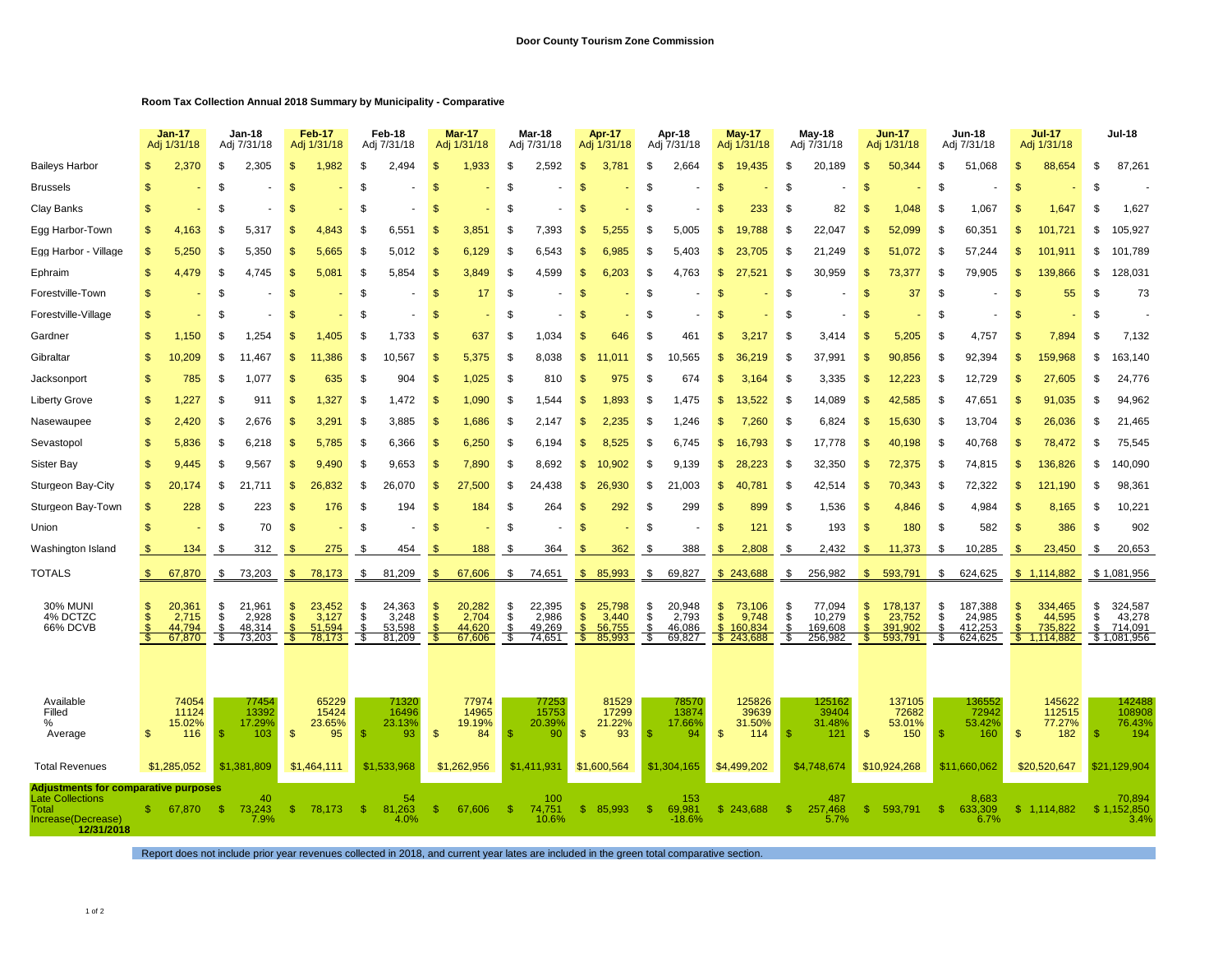## **Room Tax Collection Annual 2018 Summary by Municipality - Comparative**

|                                                                                                              |                   | <b>Jan-17</b><br>Adj 1/31/18        |                     | <b>Jan-18</b><br>Adj 7/31/18        |                                       | <b>Feb-17</b><br>Adj 1/31/18        |                            | Feb-18<br>Adj 7/31/18               |                                      | <b>Mar-17</b><br>Adj 1/31/18        |                         | Mar-18<br>Adj 7/31/18               | Apr-17<br>Adj 1/31/18                                                           |                     | Apr-18<br>Adj 7/31/18               |                                     | <b>May-17</b><br>Adj 1/31/18            |                      | May-18<br>Adj 7/31/18                  |                                     | <b>Jun-17</b><br>Adj 1/31/18            |                      | <b>Jun-18</b><br>Adj 7/31/18            |                | <b>Jul-17</b><br>Adj 1/31/18                | <b>Jul-18</b>  |                                             |
|--------------------------------------------------------------------------------------------------------------|-------------------|-------------------------------------|---------------------|-------------------------------------|---------------------------------------|-------------------------------------|----------------------------|-------------------------------------|--------------------------------------|-------------------------------------|-------------------------|-------------------------------------|---------------------------------------------------------------------------------|---------------------|-------------------------------------|-------------------------------------|-----------------------------------------|----------------------|----------------------------------------|-------------------------------------|-----------------------------------------|----------------------|-----------------------------------------|----------------|---------------------------------------------|----------------|---------------------------------------------|
| <b>Baileys Harbor</b>                                                                                        | я                 | 2,370                               | -S                  | 2,305                               | -SS                                   | 1,982                               | -S                         | 2,494                               | \$.                                  | 1,933                               | \$.                     | 2,592                               | S.<br>3.781                                                                     | \$                  | 2,664                               | \$                                  | 19,435                                  | \$                   | 20,189                                 | -S                                  | 50,344                                  | £.                   | 51,068                                  | £.             | 88,654                                      | \$             | 87,261                                      |
| <b>Brussels</b>                                                                                              | £.                |                                     | S                   |                                     | <b>S</b>                              |                                     | -S                         |                                     | \$                                   |                                     | \$                      |                                     | £.                                                                              | S                   |                                     | -S                                  |                                         | S.                   |                                        | -\$                                 |                                         | S                    |                                         | £.             |                                             | \$             |                                             |
| <b>Clay Banks</b>                                                                                            | £.                |                                     | -\$                 |                                     | £.                                    |                                     | .ፍ                         |                                     | \$                                   |                                     | . ፍ                     |                                     | \$                                                                              | \$                  |                                     | -S                                  | 233                                     | -\$                  | 82                                     |                                     | 1.048                                   | \$                   | 1.067                                   | £.             | 1,647                                       | \$             | 1,627                                       |
| Egg Harbor-Town                                                                                              | £.                | 4,163                               | S.                  | 5.317                               | $\mathcal{S}$                         | 4.843                               | -S                         | 6.551                               | \$                                   | 3.851                               | \$.                     | 7,393                               | \$<br>.255                                                                      | \$                  | 5,005                               | \$                                  | 19.788                                  | S.                   | 22,047                                 | £.                                  | 52.099                                  | S.                   | 60.351                                  | \$.            | 101.721                                     | S              | 105,927                                     |
| Egg Harbor - Village                                                                                         | S.                | 5,250                               | -S                  | 5,350                               |                                       | 5.665                               | -S                         | 5,012                               | S.                                   | 6,129                               | -S                      | 6,543                               | £.<br>6.985                                                                     | \$                  | 5,403                               | S                                   | 23.705                                  | -\$                  | 21,249                                 |                                     | 51,072                                  | .S                   | 57,244                                  | S              | 101,911                                     | \$             | 101,789                                     |
| Ephraim                                                                                                      | \$                | 4.479                               | S.                  | 4.745                               | <b>S</b>                              | 5.08 <sup>′</sup>                   | .ፍ                         | 5.854                               | <b>S</b>                             | 3.849                               | - \$                    | 4.599                               | \$<br>6.203                                                                     | <b>S</b>            | 4.763                               | <b>S</b>                            | 27.521                                  | - \$                 | 30.959                                 | ி                                   | 73,377                                  | \$.                  | 79.905                                  | £.             | 139.866                                     | S              | 128,031                                     |
| Forestville-Town                                                                                             | \$                |                                     | Ŝ.                  |                                     | -\$                                   |                                     | -S                         |                                     | \$                                   | 17                                  | - \$                    |                                     | <b>S</b>                                                                        | \$                  |                                     | -S                                  |                                         | <sup>\$</sup>        |                                        | -\$                                 | 37                                      | \$                   |                                         | -\$            | 55                                          | \$             | 73                                          |
| Forestville-Village                                                                                          | \$                |                                     | S                   |                                     | \$                                    |                                     | -S                         |                                     | <sup>\$</sup>                        |                                     | \$.                     |                                     | <sub>\$</sub>                                                                   | <b>S</b>            |                                     | -S                                  |                                         | S.                   |                                        | -\$                                 |                                         | \$.                  |                                         | - \$           |                                             | S              |                                             |
| Gardner                                                                                                      |                   | 1,150                               | £.                  | 1,254                               |                                       | .405                                |                            | 1,733                               | \$                                   | 637                                 | . ፍ                     | 1,034                               | 646                                                                             | \$                  | 461                                 |                                     | 3.3                                     | $\mathbf{f}$         | 3,414                                  |                                     | 5,205                                   | ٩.                   | 4,757                                   | £.             | 7,894                                       | \$             | 7,132                                       |
| Gibraltar                                                                                                    | £.                | 10,209                              | \$                  | 11.467                              | \$.                                   | 11.386                              | \$                         | 10.567                              | \$                                   | 5.375                               | - \$                    | 8,038                               | $\mathfrak{s}$                                                                  | \$                  | 10.565                              | \$                                  | 36 219                                  | -\$                  | 37,991                                 | -\$                                 | 90,856                                  | \$                   | 92,394                                  | £.             | 159,968                                     | \$             | 163,140                                     |
| Jacksonport                                                                                                  | S                 | 785                                 | -\$                 | 1.077                               | -SS                                   | 635                                 | -S                         | 904                                 | \$                                   | 1,025                               | \$                      | 810                                 | \$<br>975                                                                       | \$                  | 674                                 | S                                   | 3,164                                   | -\$                  | 3,335                                  | -\$                                 | 12,223                                  | \$                   | 12,729                                  | -S             | 27,605                                      | \$             | 24,776                                      |
| Liberty Grove                                                                                                | \$                | 1,227                               | \$                  | 911                                 | \$                                    | 1,327                               | \$                         | 1,472                               | \$                                   | 1,090                               | \$                      | 1,544                               | \$<br>.893                                                                      | \$                  | 1,475                               | $\mathfrak{s}$                      | 13,522                                  | \$                   | 14,089                                 | $\mathbf{s}$                        | 42,585                                  | \$                   | 47,651                                  | -\$            | 91,035                                      | \$             | 94,962                                      |
| Nasewaupee                                                                                                   | £.                | 2,420                               | -9                  | 2.676                               | \$                                    | 3.29'                               | .ፍ                         | 3,885                               | \$.                                  | 1,686                               | - \$                    | 2.147                               | .235<br>£.                                                                      | \$                  | 1.246                               | \$                                  | 7.260                                   | \$                   | 6,824                                  |                                     | 15,630                                  | \$                   | 13,704                                  | $\mathfrak{g}$ | 26,036                                      | \$             | 21,465                                      |
| Sevastopol                                                                                                   | £.                | 5,836                               | - \$                | 6,218                               | \$.                                   | 5.785                               | -S                         | 6,366                               | \$                                   | 6,250                               | -S                      | 6,194                               | \$<br>8.525                                                                     | \$                  | 6,745                               | \$                                  | 16,793                                  | -\$                  | 17,778                                 |                                     | 40,198                                  | \$                   | 40,768                                  | £.             | 78,472                                      | \$             | 75,545                                      |
| Sister Bay                                                                                                   | S                 | 9,445                               | \$                  | 9,567                               | S                                     | 9,490                               | - \$                       | 9,653                               | \$                                   | 7,890                               | - \$                    | 8,692                               | \$<br>.902<br>10                                                                | \$                  | 9,139                               | \$                                  | 28,223                                  | \$                   | 32,350                                 | <b>S</b>                            | 72,375                                  | \$                   | 74,815                                  | S              | 136,826                                     | \$             | 140,090                                     |
| Sturgeon Bay-City                                                                                            | \$                | 20.174                              | \$                  | 21.711                              | \$.                                   | 26<br>.832                          | -S                         | 26,070                              | \$                                   | 27.500                              | - \$                    | 24,438                              | \$.<br>26<br>.930                                                               | \$                  | 21,003                              | \$                                  | 40,781                                  | -\$                  | 42,514                                 | -\$                                 | 70.343                                  | \$                   | 72,322                                  | \$             | 121,190                                     | \$             | 98,361                                      |
| Sturgeon Bay-Town                                                                                            | S                 | 228                                 | S                   | 223                                 | S                                     | 176                                 | -S                         | 194                                 | \$                                   | 184                                 | S.                      | 264                                 | 292<br>S.                                                                       | \$                  | 299                                 | S                                   | 899                                     | \$                   | 1,536                                  | -\$                                 | 4,846                                   | \$                   | 4,984                                   | -96            | 8,165                                       | S              | 10,221                                      |
| Union                                                                                                        | \$                |                                     | S                   | 70                                  | \$.                                   |                                     | \$                         |                                     | \$                                   |                                     | \$                      |                                     | \$                                                                              | \$                  |                                     | -S                                  | 121                                     | \$                   | 193                                    | -\$                                 | 180                                     | \$                   | 582                                     | -\$            | 386                                         | \$             | 902                                         |
| Washington Island                                                                                            |                   | 134                                 | -S                  | 312                                 | -96                                   | 275                                 | - \$                       | 454                                 | -S                                   | 188                                 | \$                      | 364                                 | \$<br>362                                                                       | \$                  | 388                                 | <b>S</b>                            | 2,808                                   | - \$                 | 2.432                                  | - 96                                | 11,373                                  | -S                   | 10,285                                  | -96            | 23,450                                      | \$             | 20,653                                      |
| TOTALS                                                                                                       | \$                | 67,870                              | \$                  | 73,203                              | - \$                                  | 78,173                              | S.                         | 81,209                              | \$                                   | 67,606                              | \$                      | 74,651                              | $\mathbb{S}$<br>85,993                                                          | \$                  | 69,827                              |                                     | \$243,688                               | -\$                  | 256,982                                | \$.                                 | 593,791                                 | \$                   | 624,625                                 |                | \$1,114,882                                 |                | \$1,081,956                                 |
| 30% MUNI<br>4% DCTZC<br>66% DCVB                                                                             | S<br>$\mathbb{S}$ | 20,361<br>2,715<br>44,794<br>67,870 | \$<br>\$<br>-S<br>S | 21,961<br>2,928<br>48,314<br>73,203 | \$.<br>$\mathfrak{s}$<br>- \$<br>- \$ | 23,452<br>3,127<br>51.594<br>78,173 | - \$<br>S<br><b>S</b><br>S | 24,363<br>3,248<br>53,598<br>81,209 | S<br>$\mathfrak{s}$<br><b>S</b><br>S | 20,282<br>2,704<br>44.620<br>67,606 | \$<br>\$<br>- \$<br>-SS | 22,395<br>2,986<br>49,269<br>74,651 | \$<br>25,798<br>$\mathbb{S}$<br>3,440<br>$\mathbf{s}$<br>56,755<br>s.<br>85,993 | \$<br>\$<br>S<br>S. | 20,948<br>2,793<br>46.086<br>69,827 | \$<br>$\mathcal{S}$<br>$\mathbb{S}$ | 73,106<br>9,748<br>160,834<br>\$243,688 | \$<br>\$<br>\$<br>S, | 77,094<br>10,279<br>169,608<br>256,982 | - \$<br><sup>\$</sup><br>-\$<br>`\$ | 178,137<br>23,752<br>391,902<br>593,791 | \$<br>S<br>\$<br>-85 | 187,388<br>24,985<br>412,253<br>624,625 | S<br>\$<br>\$  | 334,465<br>44,595<br>735,822<br>\$1,114,882 | \$<br>\$<br>\$ | 324,587<br>43,278<br>714,091<br>\$1,081,956 |
| Available<br>Filled<br>%<br>Average                                                                          | \$.               | 74054<br>11124<br>15.02%<br>116     | - \$                | 77454<br>13392<br>17.29%<br>103     | $\mathbf{\$}$                         | 65229<br>15424<br>23.65%<br>95      | -\$                        | 71320<br>16496<br>23.13%<br>93      | $\mathfrak{s}$                       | 77974<br>14965<br>19.19%<br>84      |                         | 77253<br>15753<br>20.39%<br>90      | 81529<br>17299<br>21.22%<br>$\mathbf{\hat{s}}$<br>93                            | -S                  | 78570<br>13874<br>17.66%<br>94      | \$                                  | 125826<br>39639<br>31.50%<br>114        | \$                   | 125162<br>39404<br>31.48%<br>121       | $\mathbf{s}$                        | 137105<br>72682<br>53.01%<br>150        | \$                   | 136552<br>72942<br>53.42%<br>160        | $\mathfrak{s}$ | 145622<br>112515<br>77.27%<br>182           | \$             | 142488<br>108908<br>76.43%<br>194           |
| <b>Total Revenues</b>                                                                                        |                   | \$1,285,052                         |                     | \$1.381.809                         |                                       | \$1,464,111                         |                            | \$1.533.968                         |                                      | \$1.262.956                         |                         | \$1.411.931                         | \$1,600,564                                                                     |                     | \$1,304,165                         |                                     | \$4,499,202                             |                      | \$4,748,674                            |                                     | \$10,924,268                            |                      | \$11,660,062                            |                | \$20,520,647                                |                | \$21.129.904                                |
| Adjustments for comparative purposes<br><b>Late Collections</b><br>Total<br>Increase(Decrease)<br>12/31/2018 |                   | 67,870                              | - \$                | 40<br>73,243<br>7.9%                | $\mathbb{S}$                          | 78,173                              | - \$                       | 54<br>81,263<br>4.0%                | \$                                   | 67,606                              | -\$                     | 100<br>74,751<br>10.6%              | $\mathbf{\$}$<br>85,993                                                         | $\mathbf{\$}$       | 153<br>69,981<br>$-18.6%$           |                                     | \$243,688                               | S                    | 487<br>257,468<br>5.7%                 | -S                                  | 593,791                                 | - \$                 | 8.683<br>633,309<br>6.7%                | \$             | 1,114,882                                   |                | 70,894<br>\$1,152,850<br>3.4%               |

Report does not include prior year revenues collected in 2018, and current year lates are included in the green total comparative section.